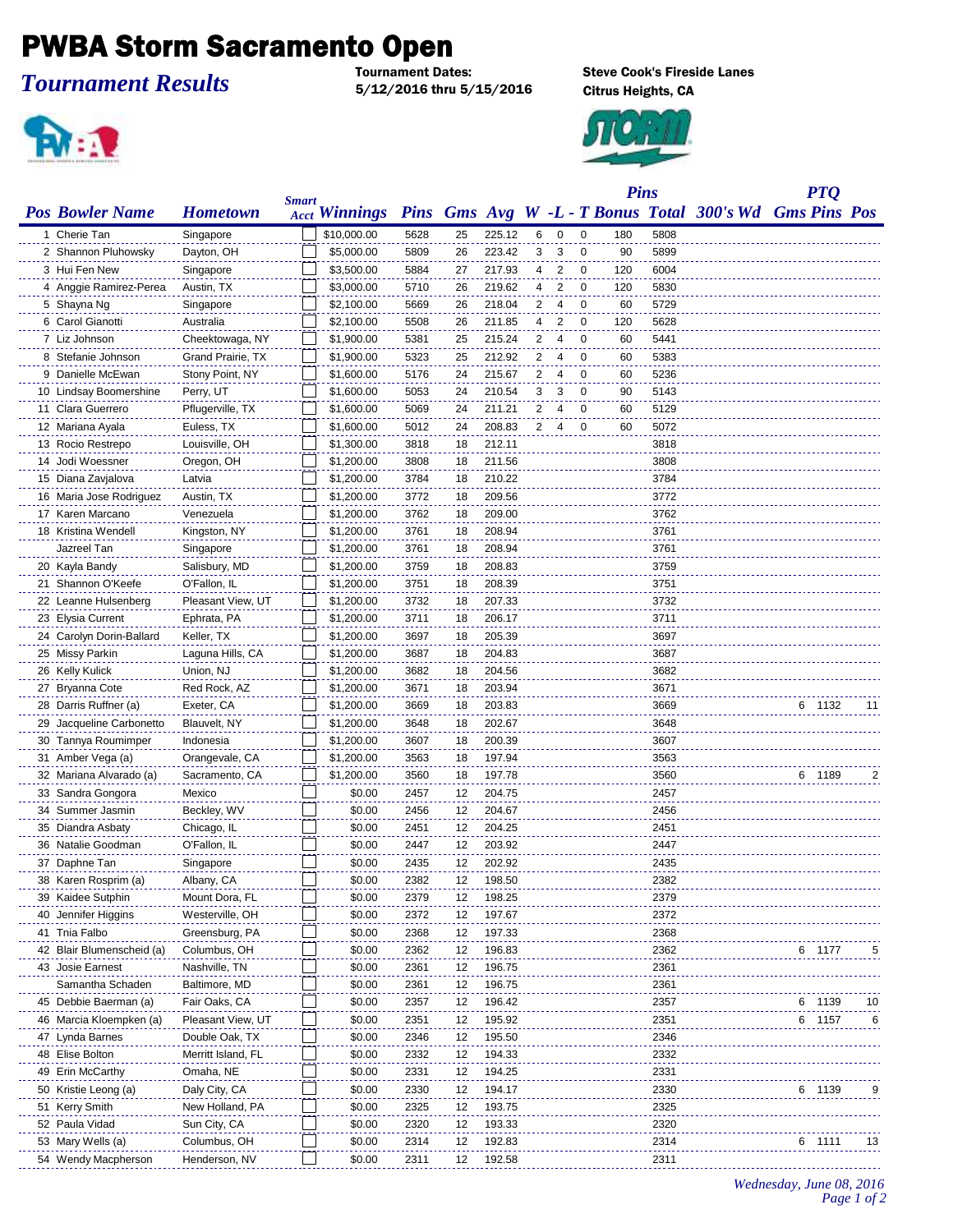## **PWBA Storm Sacramento Open**

## *Tournament Results*

5/12/2016 thru 5/15/2016 Citrus Heights, CA



**Steve Cook's Fireside Lanes** 



|                           |                    | <b>Smart</b> |                      |      |    |        |                |                         |             | <b>Pins</b> |      |                                                         |        | <b>PTQ</b> |    |
|---------------------------|--------------------|--------------|----------------------|------|----|--------|----------------|-------------------------|-------------|-------------|------|---------------------------------------------------------|--------|------------|----|
| <b>Pos Bowler Name</b>    | <b>Hometown</b>    |              | <b>Acct Winnings</b> |      |    |        |                |                         |             |             |      | Pins Gms Avg W -L - T Bonus Total 300's Wd Gms Pins Pos |        |            |    |
| 1 Cherie Tan              | Singapore          |              | \$10,000.00          | 5628 | 25 | 225.12 | 6              | $\overline{\mathbf{0}}$ | 0           | 180         | 5808 |                                                         |        |            |    |
| 2 Shannon Pluhowsky       | Dayton, OH         |              | \$5,000.00           | 5809 | 26 | 223.42 | 3              | 3                       | 0           | 90          | 5899 |                                                         |        |            |    |
| 3 Hui Fen New             | Singapore          |              | \$3,500.00           | 5884 | 27 | 217.93 | 4              | 2                       | 0           | 120         | 6004 |                                                         |        |            |    |
| 4 Anggie Ramirez-Perea    | Austin, TX         |              | \$3,000.00           | 5710 | 26 | 219.62 | 4              | $\overline{2}$          | $\mathbf 0$ | 120         | 5830 |                                                         |        |            |    |
| 5 Shayna Ng               | Singapore          |              | \$2,100.00           | 5669 | 26 | 218.04 | 2              | 4                       | $\mathbf 0$ | 60          | 5729 |                                                         |        |            |    |
| 6 Carol Gianotti          | Australia          |              | \$2,100.00           | 5508 | 26 | 211.85 | 4              | $\overline{2}$          | $\mathbf 0$ | 120         | 5628 |                                                         |        |            |    |
| 7 Liz Johnson             | Cheektowaga, NY    |              | \$1,900.00           | 5381 | 25 | 215.24 | $\overline{2}$ | $\overline{4}$          | $\mathbf 0$ | 60          | 5441 |                                                         |        |            |    |
| 8 Stefanie Johnson        | Grand Prairie, TX  |              | \$1,900.00           | 5323 | 25 | 212.92 | 2              | 4                       | 0           | 60          | 5383 |                                                         |        |            |    |
| 9 Danielle McEwan         | Stony Point, NY    |              | \$1,600.00           | 5176 | 24 | 215.67 | 2              | 4                       | 0           | 60          | 5236 |                                                         |        |            |    |
| 10 Lindsay Boomershine    | Perry, UT          |              | \$1,600.00           | 5053 | 24 | 210.54 | 3              | 3                       | 0           | 90          | 5143 |                                                         |        |            |    |
| 11 Clara Guerrero         | Pflugerville, TX   |              | \$1,600.00           | 5069 | 24 | 211.21 | 2              | 4                       | 0           | 60          | 5129 |                                                         |        |            |    |
| 12 Mariana Ayala          | Euless, TX         |              | \$1,600.00           | 5012 | 24 | 208.83 | 2              | 4                       | $\mathbf 0$ | 60          | 5072 |                                                         |        |            |    |
| 13 Rocio Restrepo         | Louisville, OH     |              | \$1,300.00           | 3818 | 18 | 212.11 |                |                         |             |             | 3818 |                                                         |        |            |    |
| 14 Jodi Woessner          | Oregon, OH         |              | \$1,200.00           | 3808 | 18 | 211.56 |                |                         |             |             | 3808 |                                                         |        |            |    |
| 15 Diana Zavjalova        | Latvia             |              | \$1,200.00           | 3784 | 18 | 210.22 |                |                         |             |             | 3784 |                                                         |        |            |    |
| 16 Maria Jose Rodriguez   | Austin, TX         |              | \$1,200.00           | 3772 | 18 | 209.56 |                |                         |             |             | 3772 |                                                         |        |            |    |
| 17 Karen Marcano          | Venezuela          |              | \$1,200.00           | 3762 | 18 | 209.00 |                |                         |             |             | 3762 |                                                         |        |            |    |
| 18 Kristina Wendell       | Kingston, NY       |              | \$1,200.00           | 3761 | 18 | 208.94 |                |                         |             |             | 3761 |                                                         |        |            |    |
| Jazreel Tan               | Singapore          |              | \$1,200.00           | 3761 | 18 | 208.94 |                |                         |             |             | 3761 |                                                         |        |            |    |
| 20 Kayla Bandy            | Salisbury, MD      |              | \$1,200.00           | 3759 | 18 | 208.83 |                |                         |             |             | 3759 |                                                         |        |            |    |
| 21 Shannon O'Keefe        | O'Fallon, IL       |              | \$1,200.00           | 3751 | 18 | 208.39 |                |                         |             |             | 3751 |                                                         |        |            |    |
| 22 Leanne Hulsenberg      | Pleasant View, UT  |              | \$1,200.00           | 3732 | 18 | 207.33 |                |                         |             |             | 3732 |                                                         |        |            |    |
| 23 Elysia Current         | Ephrata, PA        |              | \$1,200.00           | 3711 | 18 | 206.17 |                |                         |             |             | 3711 |                                                         |        |            |    |
| 24 Carolyn Dorin-Ballard  | Keller, TX         |              | \$1,200.00           | 3697 | 18 | 205.39 |                |                         |             |             | 3697 |                                                         |        |            |    |
| 25 Missy Parkin           | Laguna Hills, CA   |              | \$1,200.00           | 3687 | 18 | 204.83 |                |                         |             |             | 3687 |                                                         |        |            |    |
| 26 Kelly Kulick           | Union, NJ          |              | \$1,200.00           | 3682 | 18 | 204.56 |                |                         |             |             | 3682 |                                                         |        |            |    |
| 27 Bryanna Cote           | Red Rock, AZ       |              | \$1,200.00           | 3671 | 18 | 203.94 |                |                         |             |             | 3671 |                                                         |        |            |    |
| 28 Darris Ruffner (a)     | Exeter, CA         |              | \$1,200.00           | 3669 | 18 | 203.83 |                |                         |             |             | 3669 |                                                         | 6.     | 1132       | 11 |
| 29 Jacqueline Carbonetto  | Blauvelt, NY       |              | \$1,200.00           | 3648 | 18 | 202.67 |                |                         |             |             | 3648 |                                                         |        |            |    |
| 30 Tannya Roumimper       | Indonesia          |              | \$1,200.00           | 3607 | 18 | 200.39 |                |                         |             |             | 3607 |                                                         |        |            |    |
| 31 Amber Vega (a)         | Orangevale, CA     |              | \$1,200.00           | 3563 | 18 | 197.94 |                |                         |             |             | 3563 |                                                         |        |            |    |
| 32 Mariana Alvarado (a)   | Sacramento, CA     |              | \$1,200.00           | 3560 | 18 | 197.78 |                |                         |             |             | 3560 |                                                         | 6 1189 |            |    |
| 33 Sandra Gongora         | Mexico             |              | \$0.00               | 2457 | 12 | 204.75 |                |                         |             |             | 2457 |                                                         |        |            |    |
| 34 Summer Jasmin          | Beckley, WV        |              | \$0.00               | 2456 | 12 | 204.67 |                |                         |             |             | 2456 |                                                         |        |            |    |
| 35 Diandra Asbaty         | Chicago, IL        |              | \$0.00               | 2451 | 12 | 204.25 |                |                         |             |             | 2451 |                                                         |        |            |    |
| 36 Natalie Goodman        | O'Fallon, IL       |              | \$0.00               | 2447 | 12 | 203.92 |                |                         |             |             | 2447 |                                                         |        |            |    |
| 37 Daphne Tan             | Singapore          |              | \$0.00               | 2435 | 12 | 202.92 |                |                         |             |             | 2435 |                                                         |        |            |    |
| 38 Karen Rosprim (a)      | Albany, CA         |              | \$0.00               | 2382 | 12 | 198.50 |                |                         |             |             | 2382 |                                                         |        |            |    |
| 39 Kaidee Sutphin         | Mount Dora, FL     |              | \$0.00               | 2379 | 12 | 198.25 |                |                         |             |             | 2379 |                                                         |        |            |    |
| 40 Jennifer Higgins       | Westerville, OH    |              | \$0.00               | 2372 | 12 | 197.67 |                |                         |             |             | 2372 |                                                         |        |            |    |
| 41 Tnia Falbo             | Greensburg, PA     |              | \$0.00               | 2368 | 12 | 197.33 |                |                         |             |             | 2368 |                                                         |        |            |    |
| 42 Blair Blumenscheid (a) | Columbus, OH       |              | \$0.00               | 2362 | 12 | 196.83 |                |                         |             |             | 2362 |                                                         | 6 1177 |            |    |
| 43 Josie Earnest          | Nashville, TN      |              | \$0.00               | 2361 | 12 | 196.75 |                |                         |             |             | 2361 |                                                         |        |            |    |
| Samantha Schaden          | Baltimore, MD      |              | \$0.00               | 2361 | 12 | 196.75 |                |                         |             |             | 2361 |                                                         |        |            |    |
| 45 Debbie Baerman (a)     | Fair Oaks, CA      |              | \$0.00               | 2357 | 12 | 196.42 |                |                         |             |             | 2357 |                                                         |        | 6 1139     | 10 |
| 46 Marcia Kloempken (a)   | Pleasant View, UT  |              | \$0.00               | 2351 | 12 | 195.92 |                |                         |             |             | 2351 |                                                         | 6 1157 |            | 6  |
| 47 Lynda Barnes           | Double Oak, TX     |              | \$0.00               | 2346 | 12 | 195.50 |                |                         |             |             | 2346 |                                                         |        |            |    |
| 48 Elise Bolton           | Merritt Island, FL |              | \$0.00               | 2332 | 12 | 194.33 |                |                         |             |             | 2332 |                                                         |        |            |    |
| 49 Erin McCarthy          | Omaha, NE          |              | \$0.00               | 2331 | 12 | 194.25 |                |                         |             |             | 2331 |                                                         |        |            |    |
| 50 Kristie Leong (a)      | Daly City, CA      |              | \$0.00               | 2330 | 12 | 194.17 |                |                         |             |             | 2330 |                                                         | 6 1139 |            |    |
| 51 Kerry Smith            | New Holland, PA    |              | \$0.00               | 2325 | 12 | 193.75 |                |                         |             |             | 2325 |                                                         |        |            |    |
| 52 Paula Vidad            | Sun City, CA       |              | \$0.00               | 2320 | 12 | 193.33 |                |                         |             |             | 2320 |                                                         |        |            |    |
| 53 Mary Wells (a)         | Columbus, OH       |              | \$0.00               | 2314 | 12 | 192.83 |                |                         |             |             | 2314 |                                                         |        | 1111       | 13 |
| 54 Wendy Macpherson       | Henderson, NV      |              | \$0.00               | 2311 | 12 | 192.58 |                |                         |             |             | 2311 |                                                         |        |            |    |
|                           |                    |              |                      |      |    |        |                |                         |             |             |      |                                                         |        |            |    |

*Wednesday, June 08, 2016 Page 1 of 2*